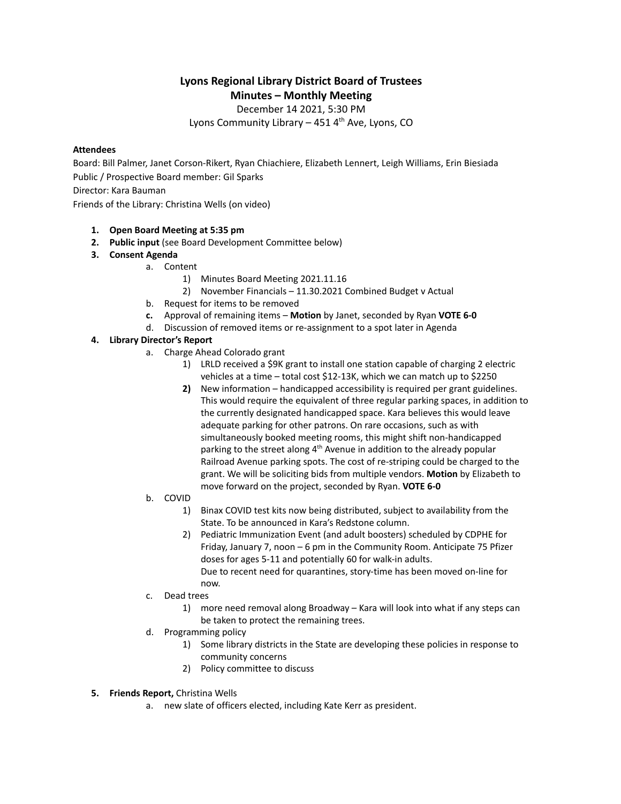# **Lyons Regional Library District Board of Trustees Minutes – Monthly Meeting**

December 14 2021, 5:30 PM

Lyons Community Library – 451 4<sup>th</sup> Ave, Lyons, CO

### **Attendees**

Board: Bill Palmer, Janet Corson-Rikert, Ryan Chiachiere, Elizabeth Lennert, Leigh Williams, Erin Biesiada Public / Prospective Board member: Gil Sparks Director: Kara Bauman

Friends of the Library: Christina Wells (on video)

## **1. Open Board Meeting at 5:35 pm**

- **2. Public input** (see Board Development Committee below)
- **3. Consent Agenda**
	- a. Content
		- 1) Minutes Board Meeting 2021.11.16
		- 2) November Financials 11.30.2021 Combined Budget v Actual
	- b. Request for items to be removed
	- **c.** Approval of remaining items **Motion** by Janet, seconded by Ryan **VOTE 6-0**
	- d. Discussion of removed items or re-assignment to a spot later in Agenda

## **4. Library Director's Report**

- a. Charge Ahead Colorado grant
	- 1) LRLD received a \$9K grant to install one station capable of charging 2 electric vehicles at a time – total cost \$12-13K, which we can match up to \$2250
	- **2)** New information handicapped accessibility is required per grant guidelines. This would require the equivalent of three regular parking spaces, in addition to the currently designated handicapped space. Kara believes this would leave adequate parking for other patrons. On rare occasions, such as with simultaneously booked meeting rooms, this might shift non-handicapped parking to the street along 4<sup>th</sup> Avenue in addition to the already popular Railroad Avenue parking spots. The cost of re-striping could be charged to the grant. We will be soliciting bids from multiple vendors. **Motion** by Elizabeth to move forward on the project, seconded by Ryan. **VOTE 6-0**
- b. COVID
	- 1) Binax COVID test kits now being distributed, subject to availability from the State. To be announced in Kara's Redstone column.
	- 2) Pediatric Immunization Event (and adult boosters) scheduled by CDPHE for Friday, January 7, noon – 6 pm in the Community Room. Anticipate 75 Pfizer doses for ages 5-11 and potentially 60 for walk-in adults. Due to recent need for quarantines, story-time has been moved on-line for now.
- c. Dead trees
	- 1) more need removal along Broadway Kara will look into what if any steps can be taken to protect the remaining trees.
- d. Programming policy
	- 1) Some library districts in the State are developing these policies in response to community concerns
	- 2) Policy committee to discuss
- **5. Friends Report,** Christina Wells
	- a. new slate of officers elected, including Kate Kerr as president.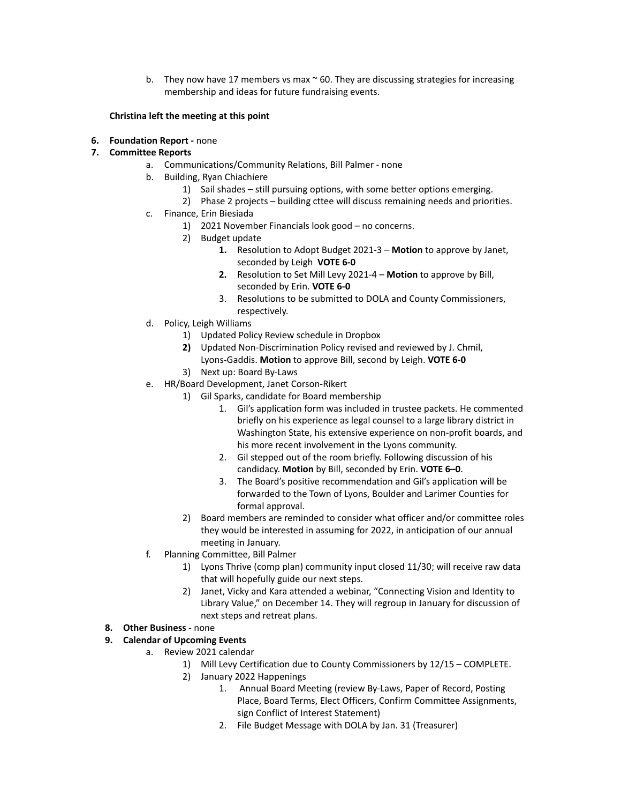b. They now have 17 members vs max  $\sim$  60. They are discussing strategies for increasing membership and ideas for future fundraising events.

#### **Christina left the meeting at this point**

**6. Foundation Report -** none

## **7. Committee Reports**

- a. Communications/Community Relations, Bill Palmer none
- b. Building, Ryan Chiachiere
	- 1) Sail shades still pursuing options, with some better options emerging.
	- 2) Phase 2 projects building cttee will discuss remaining needs and priorities.
- c. Finance, Erin Biesiada
	- 1) 2021 November Financials look good no concerns.
	- 2) Budget update
		- **1.** Resolution to Adopt Budget 2021-3 **Motion** to approve by Janet, seconded by Leigh **VOTE 6-0**
		- **2.** Resolution to Set Mill Levy 2021-4 **Motion** to approve by Bill, seconded by Erin. **VOTE 6-0**
		- 3. Resolutions to be submitted to DOLA and County Commissioners, respectively.
- d. Policy, Leigh Williams
	- 1) Updated Policy Review schedule in Dropbox
	- **2)** Updated Non-Discrimination Policy revised and reviewed by J. Chmil, Lyons-Gaddis. **Motion** to approve Bill, second by Leigh. **VOTE 6-0**
	- 3) Next up: Board By-Laws
- e. HR/Board Development, Janet Corson-Rikert
	- 1) Gil Sparks, candidate for Board membership
		- 1. Gil's application form was included in trustee packets. He commented briefly on his experience as legal counsel to a large library district in Washington State, his extensive experience on non-profit boards, and his more recent involvement in the Lyons community.
		- 2. Gil stepped out of the room briefly. Following discussion of his candidacy. **Motion** by Bill, seconded by Erin. **VOTE 6–0**.
		- 3. The Board's positive recommendation and Gil's application will be forwarded to the Town of Lyons, Boulder and Larimer Counties for formal approval.
	- 2) Board members are reminded to consider what officer and/or committee roles they would be interested in assuming for 2022, in anticipation of our annual meeting in January.
- f. Planning Committee, Bill Palmer
	- 1) Lyons Thrive (comp plan) community input closed 11/30; will receive raw data that will hopefully guide our next steps.
	- 2) Janet, Vicky and Kara attended a webinar, "Connecting Vision and Identity to Library Value," on December 14. They will regroup in January for discussion of next steps and retreat plans.

## **8. Other Business** - none

## **9. Calendar of Upcoming Events**

- a. Review 2021 calendar
	- 1) Mill Levy Certification due to County Commissioners by 12/15 COMPLETE.
	- 2) January 2022 Happenings
		- 1. Annual Board Meeting (review By-Laws, Paper of Record, Posting Place, Board Terms, Elect Officers, Confirm Committee Assignments, sign Conflict of Interest Statement)
		- 2. File Budget Message with DOLA by Jan. 31 (Treasurer)